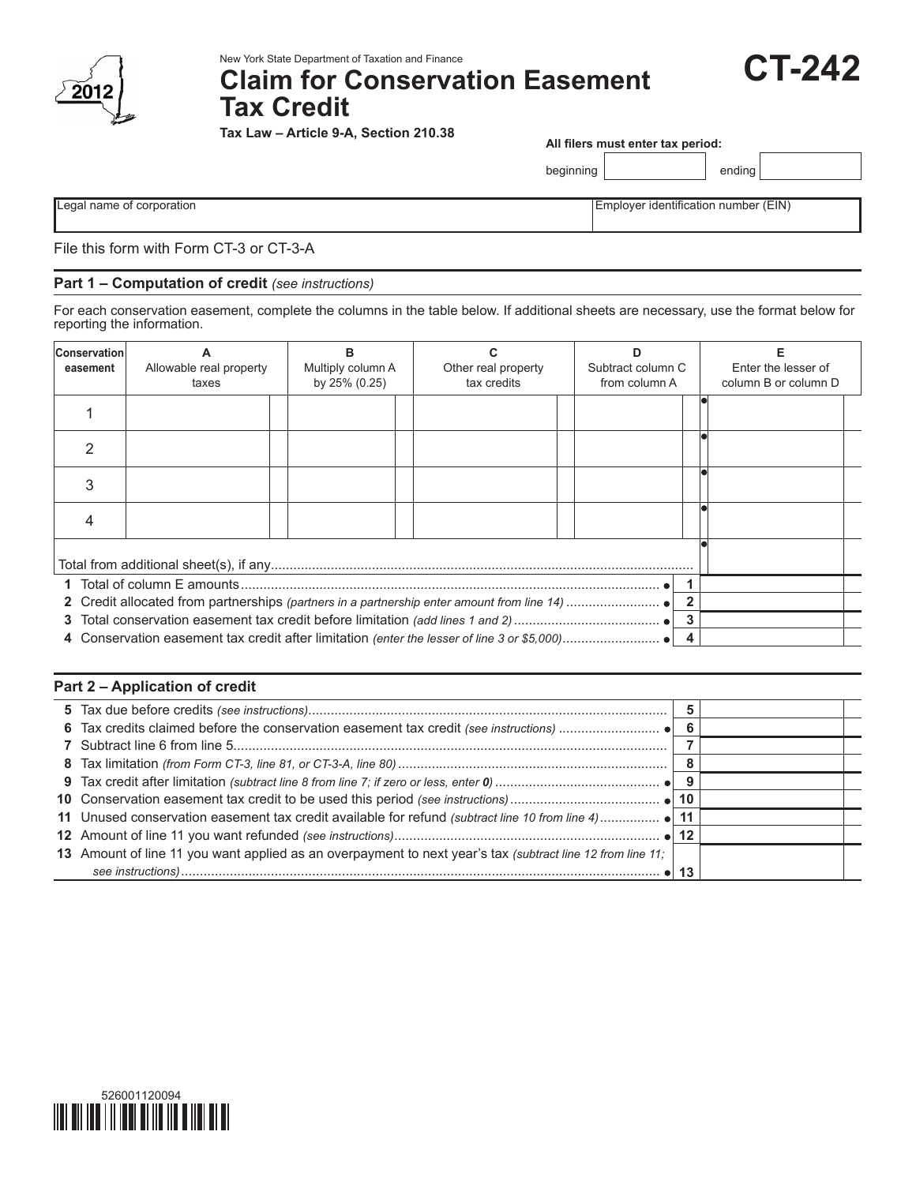

New York State Department of Taxation and Finance

**Tax Law – Article 9-A, Section 210.38**

# **Claim for Conservation Easement Tax Credit**

**CT-242**

**All filers must enter tax period:**

beginning | ending

Legal name of corporation **Employer identification number (EIN)** Employer identification number (EIN)

File this form with Form CT-3 or CT-3-A

## **Part 1 – Computation of credit** *(see instructions)*

For each conservation easement, complete the columns in the table below. If additional sheets are necessary, use the format below for reporting the information.

| <b>Conservation</b><br>easement | Allowable real property<br>taxes | в<br>Multiply column A<br>by 25% (0.25) | Other real property<br>tax credits | Subtract column C<br>from column A | Enter the lesser of<br>column B or column D |  |  |  |
|---------------------------------|----------------------------------|-----------------------------------------|------------------------------------|------------------------------------|---------------------------------------------|--|--|--|
|                                 |                                  |                                         |                                    |                                    |                                             |  |  |  |
|                                 |                                  |                                         |                                    |                                    |                                             |  |  |  |
|                                 |                                  |                                         |                                    |                                    |                                             |  |  |  |
| 4                               |                                  |                                         |                                    |                                    |                                             |  |  |  |
|                                 |                                  |                                         |                                    |                                    |                                             |  |  |  |
|                                 |                                  |                                         |                                    |                                    |                                             |  |  |  |
|                                 |                                  |                                         |                                    |                                    |                                             |  |  |  |
| 3<br>3                          |                                  |                                         |                                    |                                    |                                             |  |  |  |
|                                 |                                  |                                         |                                    |                                    |                                             |  |  |  |

## **Part 2 – Application of credit**

| 13 Amount of line 11 you want applied as an overpayment to next year's tax (subtract line 12 from line 11; |    |  |
|------------------------------------------------------------------------------------------------------------|----|--|
|                                                                                                            | 13 |  |